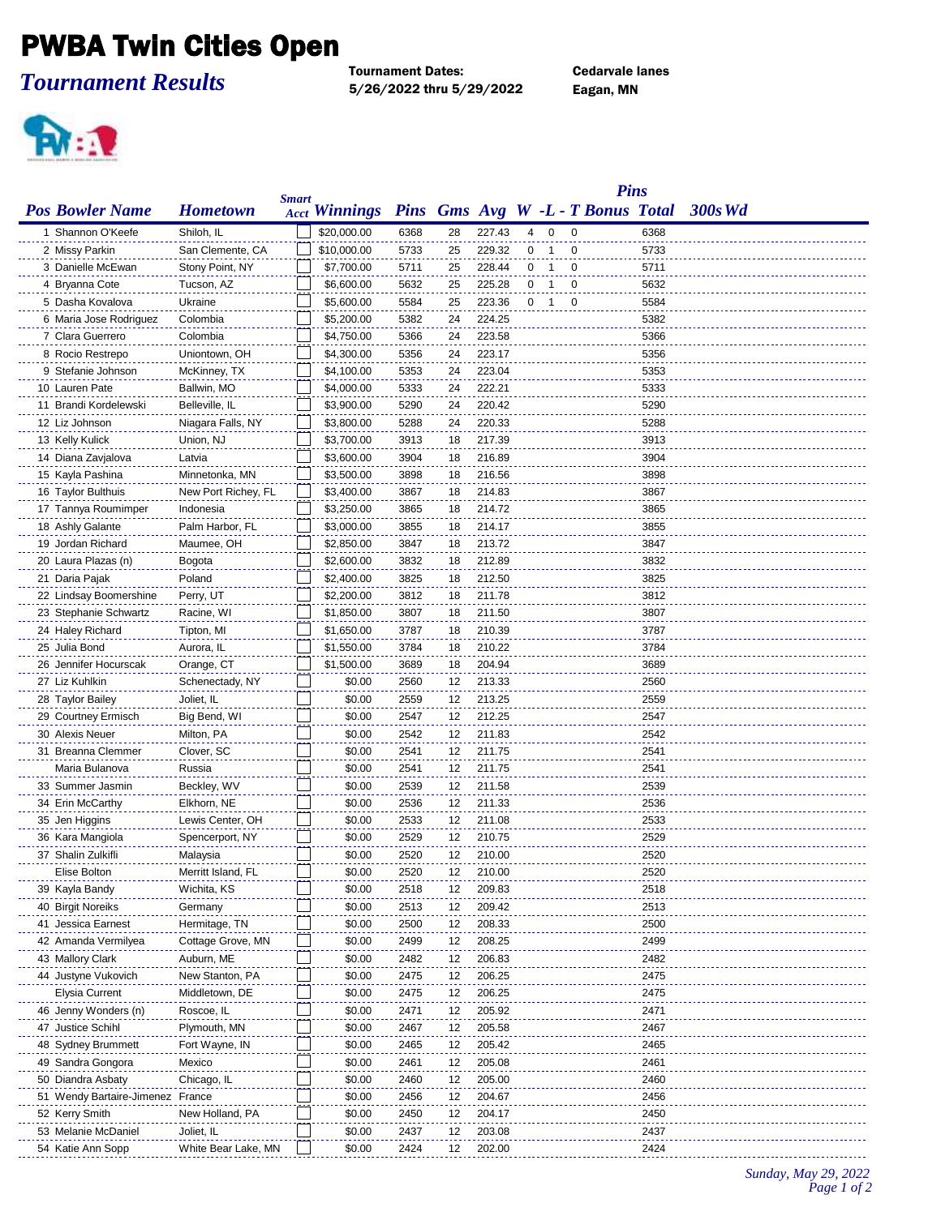## PWBA Twin Cities Open

*Tournament Results*

Tournament Dates: Cedarvale lanes 5/26/2022 thru 5/29/2022 Eagan, MN

**PV: 1** 

|                                              |                               |              |                      |              |          |                  |   |                |                                   | <b>Pins</b>  |         |
|----------------------------------------------|-------------------------------|--------------|----------------------|--------------|----------|------------------|---|----------------|-----------------------------------|--------------|---------|
| <b>Pos Bowler Name</b>                       | <b>Hometown</b>               | <b>Smart</b> | <b>Acct Winnings</b> |              |          |                  |   |                | Pins Gms Avg W -L - T Bonus Total |              | 300s Wd |
| 1 Shannon O'Keefe                            | Shiloh, IL                    |              | \$20,000.00          | 6368         | 28       | 227.43           | 4 | 0              | 0                                 | 6368         |         |
| 2 Missy Parkin                               | San Clemente, CA              |              | \$10,000.00          | 5733         | 25       | 229.32           | 0 | 1              | $\mathbf 0$                       | 5733         |         |
| 3 Danielle McEwan                            | Stony Point, NY               |              | \$7,700.00           | 5711         | 25       | 228.44           | 0 | -1             | 0                                 | 5711         |         |
| 4 Bryanna Cote                               | Tucson, AZ                    |              | \$6,600.00           | 5632         | 25       | 225.28           | 0 | $\overline{1}$ | 0                                 | 5632         |         |
| 5 Dasha Kovalova                             | Ukraine                       |              | \$5,600.00           | 5584         | 25       | 223.36           |   | 0 <sub>1</sub> | 0                                 | 5584         |         |
| 6 Maria Jose Rodriguez                       | Colombia                      |              | \$5,200.00           | 5382         | 24       | 224.25           |   |                |                                   | 5382         |         |
| 7 Clara Guerrero                             | Colombia                      |              | \$4,750.00           | 5366         | 24       | 223.58           |   |                |                                   | 5366         |         |
| 8 Rocio Restrepo                             | Uniontown, OH                 |              | \$4,300.00           | 5356         | 24       | 223.17           |   |                |                                   | 5356         |         |
| 9 Stefanie Johnson                           | McKinney, TX                  |              | \$4,100.00           | 5353         | 24       | 223.04           |   |                |                                   | 5353         |         |
| 10 Lauren Pate                               | Ballwin, MO                   |              | \$4,000.00           | 5333         | 24       | 222.21           |   |                |                                   | 5333         |         |
| 11 Brandi Kordelewski                        | Belleville, IL                |              | \$3,900.00           | 5290         | 24       | 220.42           |   |                |                                   | 5290         |         |
| 12 Liz Johnson                               | Niagara Falls, NY             |              | \$3,800.00           | 5288         | 24       | 220.33           |   |                |                                   | 5288         |         |
| 13 Kelly Kulick                              | Union, NJ                     |              | \$3,700.00           | 3913         | 18       | 217.39           |   |                |                                   | 3913         |         |
| 14 Diana Zavjalova                           | Latvia                        |              | \$3,600.00           | 3904         | 18       | 216.89           |   |                |                                   | 3904         |         |
| 15 Kayla Pashina                             | Minnetonka, MN                |              | \$3,500.00           | 3898         | 18       | 216.56           |   |                |                                   | 3898         |         |
| 16 Taylor Bulthuis                           | New Port Richey, FL           |              | \$3,400.00           | 3867         | 18       | 214.83           |   |                |                                   | 3867         |         |
| 17 Tannya Roumimper                          | Indonesia                     |              | \$3,250.00           | 3865         | 18       | 214.72           |   |                |                                   | 3865         |         |
| 18 Ashly Galante                             | Palm Harbor, FL               |              | \$3,000.00           | 3855         | 18       | 214.17           |   |                |                                   | 3855         |         |
| 19 Jordan Richard                            | Maumee, OH                    |              | \$2,850.00           | 3847         | 18       | 213.72           |   |                |                                   | 3847         |         |
| 20 Laura Plazas (n)                          | Bogota                        |              | \$2,600.00           | 3832         | 18       | 212.89           |   |                |                                   | 3832         |         |
| 21 Daria Pajak                               | Poland                        |              | \$2,400.00           | 3825         | 18       | 212.50           |   |                |                                   | 3825         |         |
| 22 Lindsay Boomershine                       | Perry, UT                     |              | \$2,200.00           | 3812         | 18       | 211.78           |   |                |                                   | 3812         |         |
| 23 Stephanie Schwartz                        | Racine, WI                    |              | \$1,850.00           | 3807         | 18       | 211.50           |   |                |                                   | 3807         |         |
| 24 Haley Richard                             | Tipton, MI                    |              | \$1,650.00           | 3787         | 18       | 210.39           |   |                |                                   | 3787         |         |
| 25 Julia Bond                                | Aurora, IL                    |              | \$1,550.00           | 3784         | 18       | 210.22           |   |                |                                   | 3784         |         |
| 26 Jennifer Hocurscak                        | Orange, CT                    |              | \$1,500.00           | 3689         | 18       | 204.94           |   |                |                                   | 3689         |         |
| 27 Liz Kuhlkin                               | Schenectady, NY               |              | \$0.00               | 2560         | 12       | 213.33           |   |                |                                   | 2560         |         |
| 28 Taylor Bailey                             | Joliet, IL                    |              | \$0.00               | 2559         | 12       | 213.25           |   |                |                                   | 2559         |         |
| 29 Courtney Ermisch                          | Big Bend, WI                  |              | \$0.00               | 2547         | 12       | 212.25           |   |                |                                   | 2547         |         |
| 30 Alexis Neuer                              | Milton, PA                    |              | \$0.00               | 2542         | 12       | 211.83           |   |                |                                   | 2542         |         |
| 31 Breanna Clemmer                           | Clover, SC                    |              | \$0.00               | 2541         | 12       | 211.75           |   |                |                                   | 2541         |         |
| Maria Bulanova                               | Russia                        |              | \$0.00               | 2541         | 12       | 211.75           |   |                |                                   | 2541         |         |
| 33 Summer Jasmin                             | Beckley, WV                   |              | \$0.00               | 2539         | 12       | 211.58           |   |                |                                   | 2539         |         |
| 34 Erin McCarthy                             | Elkhorn, NE                   |              | \$0.00               | 2536         | 12       | 211.33           |   |                |                                   | 2536         |         |
| 35 Jen Higgins                               | Lewis Center, OH              |              | \$0.00               | 2533         | 12       | 211.08           |   |                |                                   | 2533         |         |
| 36 Kara Mangiola                             | Spencerport, NY               |              | \$0.00               | 2529         | 12       | 210.75           |   |                |                                   | 2529         |         |
| 37 Shalin Zulkifli                           | Malaysia                      |              | \$0.00               | 2520         | 12       | 210.00           |   |                |                                   | 2520         |         |
| Elise Bolton                                 | Merritt Island, FL            |              | \$0.00               | 2520         | 12       | 210.00           |   |                |                                   | 2520         |         |
| 39 Kayla Bandy                               | Wichita, KS                   |              | \$0.00               | 2518         | 12       | 209.83           |   |                |                                   | 2518         |         |
| 40 Birgit Noreiks                            | Germany                       |              | \$0.00               | 2513         | 12       | 209.42           |   |                |                                   | 2513         |         |
| 41 Jessica Earnest                           | Hermitage, TN                 |              | \$0.00               | 2500         | 12       | 208.33           |   |                |                                   | 2500         |         |
| 42 Amanda Vermilyea                          | Cottage Grove, MN             |              | \$0.00               | 2499         | 12       | 208.25           |   |                |                                   | 2499         |         |
| 43 Mallory Clark                             | Auburn, ME<br>New Stanton, PA |              | \$0.00<br>\$0.00     | 2482<br>2475 | 12<br>12 | 206.83<br>206.25 |   |                |                                   | 2482<br>2475 |         |
| 44 Justyne Vukovich<br><b>Elysia Current</b> | Middletown, DE                |              | \$0.00               | 2475         | 12       | 206.25           |   |                |                                   | 2475         |         |
| 46 Jenny Wonders (n)                         |                               |              | \$0.00               | 2471         |          | 205.92           |   |                |                                   | 2471         |         |
| 47 Justice Schihl                            | Roscoe, IL<br>Plymouth, MN    |              | \$0.00               | 2467         | 12<br>12 | 205.58           |   |                |                                   | 2467         |         |
| 48 Sydney Brummett                           | Fort Wayne, IN                |              | \$0.00               | 2465         | 12       | 205.42           |   |                |                                   | 2465         |         |
| 49 Sandra Gongora                            | Mexico                        |              | \$0.00               | 2461         | 12       | 205.08           |   |                |                                   | 2461         |         |
| 50 Diandra Asbaty                            | Chicago, IL                   |              | \$0.00               | 2460         | 12       | 205.00           |   |                |                                   | 2460         |         |
| 51 Wendy Bartaire-Jimenez France             |                               |              | \$0.00               | 2456         | 12       | 204.67           |   |                |                                   | 2456         |         |
| 52 Kerry Smith                               | New Holland, PA               |              | \$0.00               | 2450         | 12       | 204.17           |   |                |                                   | 2450         |         |
| 53 Melanie McDaniel                          | Joliet, IL                    |              | \$0.00               | 2437         | 12       | 203.08           |   |                |                                   | 2437         |         |
| 54 Katie Ann Sopp                            | White Bear Lake, MN           |              | \$0.00               | 2424         | 12       | 202.00           |   |                |                                   | 2424         |         |
|                                              |                               |              |                      |              |          |                  |   |                |                                   |              |         |